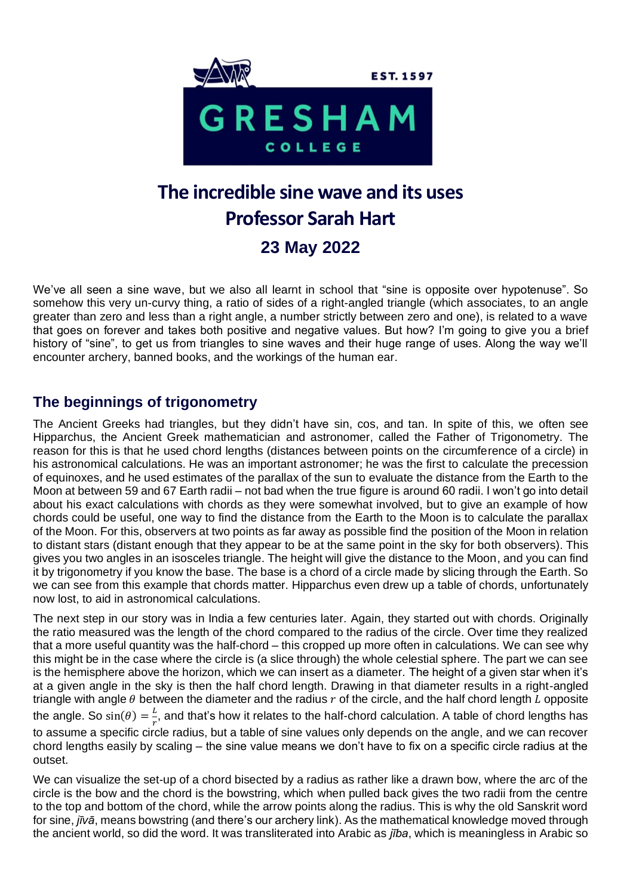

# **The incredible sine wave and its uses Professor Sarah Hart 23 May 2022**

We've all seen a sine wave, but we also all learnt in school that "sine is opposite over hypotenuse". So somehow this very un-curvy thing, a ratio of sides of a right-angled triangle (which associates, to an angle greater than zero and less than a right angle, a number strictly between zero and one), is related to a wave that goes on forever and takes both positive and negative values. But how? I'm going to give you a brief history of "sine", to get us from triangles to sine waves and their huge range of uses. Along the way we'll encounter archery, banned books, and the workings of the human ear.

#### **The beginnings of trigonometry**

The Ancient Greeks had triangles, but they didn't have sin, cos, and tan. In spite of this, we often see Hipparchus, the Ancient Greek mathematician and astronomer, called the Father of Trigonometry. The reason for this is that he used chord lengths (distances between points on the circumference of a circle) in his astronomical calculations. He was an important astronomer; he was the first to calculate the precession of equinoxes, and he used estimates of the parallax of the sun to evaluate the distance from the Earth to the Moon at between 59 and 67 Earth radii – not bad when the true figure is around 60 radii. I won't go into detail about his exact calculations with chords as they were somewhat involved, but to give an example of how chords could be useful, one way to find the distance from the Earth to the Moon is to calculate the parallax of the Moon. For this, observers at two points as far away as possible find the position of the Moon in relation to distant stars (distant enough that they appear to be at the same point in the sky for both observers). This gives you two angles in an isosceles triangle. The height will give the distance to the Moon, and you can find it by trigonometry if you know the base. The base is a chord of a circle made by slicing through the Earth. So we can see from this example that chords matter. Hipparchus even drew up a table of chords, unfortunately now lost, to aid in astronomical calculations.

The next step in our story was in India a few centuries later. Again, they started out with chords. Originally the ratio measured was the length of the chord compared to the radius of the circle. Over time they realized that a more useful quantity was the half-chord – this cropped up more often in calculations. We can see why this might be in the case where the circle is (a slice through) the whole celestial sphere. The part we can see is the hemisphere above the horizon, which we can insert as a diameter. The height of a given star when it's at a given angle in the sky is then the half chord length. Drawing in that diameter results in a right-angled triangle with angle  $\theta$  between the diameter and the radius  $r$  of the circle, and the half chord length  $\tilde{L}$  opposite the angle. So  $sin(\theta) = \frac{L}{a}$  $\frac{L}{r}$ , and that's how it relates to the half-chord calculation. A table of chord lengths has to assume a specific circle radius, but a table of sine values only depends on the angle, and we can recover chord lengths easily by scaling – the sine value means we don't have to fix on a specific circle radius at the outset.

We can visualize the set-up of a chord bisected by a radius as rather like a drawn bow, where the arc of the circle is the bow and the chord is the bowstring, which when pulled back gives the two radii from the centre to the top and bottom of the chord, while the arrow points along the radius. This is why the old Sanskrit word for sine, *jīvā*, means bowstring (and there's our archery link). As the mathematical knowledge moved through the ancient world, so did the word. It was transliterated into Arabic as *jība*, which is meaningless in Arabic so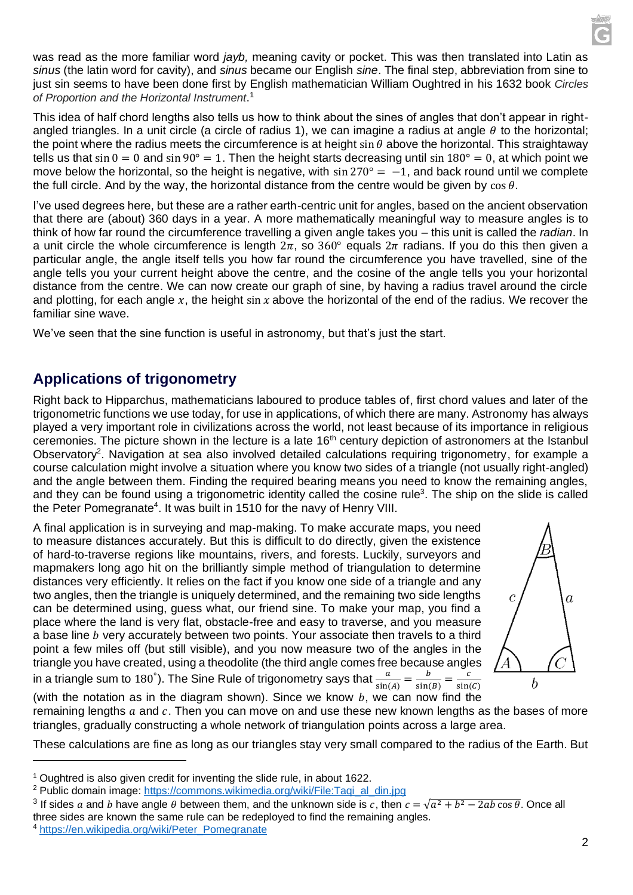was read as the more familiar word *jayb,* meaning cavity or pocket. This was then translated into Latin as *sinus* (the latin word for cavity), and *sinus* became our English *sine*. The final step, abbreviation from sine to just sin seems to have been done first by English mathematician William Oughtred in his 1632 book *Circles of Proportion and the Horizontal Instrument*. 1

This idea of half chord lengths also tells us how to think about the sines of angles that don't appear in rightangled triangles. In a unit circle (a circle of radius 1), we can imagine a radius at angle  $\theta$  to the horizontal; the point where the radius meets the circumference is at height sin  $\theta$  above the horizontal. This straightaway tells us that  $\sin 0 = 0$  and  $\sin 90^\circ = 1$ . Then the height starts decreasing until  $\sin 180^\circ = 0$ , at which point we move below the horizontal, so the height is negative, with  $\sin 270^\circ = -1$ , and back round until we complete the full circle. And by the way, the horizontal distance from the centre would be given by  $\cos \theta$ .

I've used degrees here, but these are a rather earth-centric unit for angles, based on the ancient observation that there are (about) 360 days in a year. A more mathematically meaningful way to measure angles is to think of how far round the circumference travelling a given angle takes you – this unit is called the *radian*. In a unit circle the whole circumference is length  $2\pi$ , so  $360^{\circ}$  equals  $2\pi$  radians. If you do this then given a particular angle, the angle itself tells you how far round the circumference you have travelled, sine of the angle tells you your current height above the centre, and the cosine of the angle tells you your horizontal distance from the centre. We can now create our graph of sine, by having a radius travel around the circle and plotting, for each angle x, the height  $\sin x$  above the horizontal of the end of the radius. We recover the familiar sine wave.

We've seen that the sine function is useful in astronomy, but that's just the start.

#### **Applications of trigonometry**

Right back to Hipparchus, mathematicians laboured to produce tables of, first chord values and later of the trigonometric functions we use today, for use in applications, of which there are many. Astronomy has always played a very important role in civilizations across the world, not least because of its importance in religious ceremonies. The picture shown in the lecture is a late 16<sup>th</sup> century depiction of astronomers at the Istanbul Observatory<sup>2</sup>. Navigation at sea also involved detailed calculations requiring trigonometry, for example a course calculation might involve a situation where you know two sides of a triangle (not usually right-angled) and the angle between them. Finding the required bearing means you need to know the remaining angles, and they can be found using a trigonometric identity called the cosine rule<sup>3</sup>. The ship on the slide is called the Peter Pomegranate<sup>4</sup>. It was built in 1510 for the navy of Henry VIII.

A final application is in surveying and map-making. To make accurate maps, you need to measure distances accurately. But this is difficult to do directly, given the existence of hard-to-traverse regions like mountains, rivers, and forests. Luckily, surveyors and mapmakers long ago hit on the brilliantly simple method of triangulation to determine distances very efficiently. It relies on the fact if you know one side of a triangle and any two angles, then the triangle is uniquely determined, and the remaining two side lengths can be determined using, guess what, our friend sine. To make your map, you find a place where the land is very flat, obstacle-free and easy to traverse, and you measure a base line *b* very accurately between two points. Your associate then travels to a third point a few miles off (but still visible), and you now measure two of the angles in the triangle you have created, using a theodolite (the third angle comes free because angles in a triangle sum to 180 $^{\circ}$ ). The Sine Rule of trigonometry says that  $\frac{a}{\sin(A)} = \frac{b}{\sin(A)}$  $\frac{b}{\sin(B)} = \frac{c}{\sin(B)}$ 



 $sin(C)$ (with the notation as in the diagram shown). Since we know  $b$ , we can now find the

remaining lengths  $a$  and  $c$ . Then you can move on and use these new known lengths as the bases of more triangles, gradually constructing a whole network of triangulation points across a large area.

These calculations are fine as long as our triangles stay very small compared to the radius of the Earth. But

<sup>&</sup>lt;sup>1</sup> Oughtred is also given credit for inventing the slide rule, in about 1622.

<sup>&</sup>lt;sup>2</sup> Public domain image: [https://commons.wikimedia.org/wiki/File:Taqi\\_al\\_din.jpg](https://commons.wikimedia.org/wiki/File:Taqi_al_din.jpg)

<sup>&</sup>lt;sup>3</sup> If sides a and b have angle  $\theta$  between them, and the unknown side is c, then  $c = \sqrt{a^2 + b^2 - 2ab\cos\theta}$ . Once all three sides are known the same rule can be redeployed to find the remaining angles.

<sup>&</sup>lt;sup>4</sup> [https://en.wikipedia.org/wiki/Peter\\_Pomegranate](https://en.wikipedia.org/wiki/Peter_Pomegranate)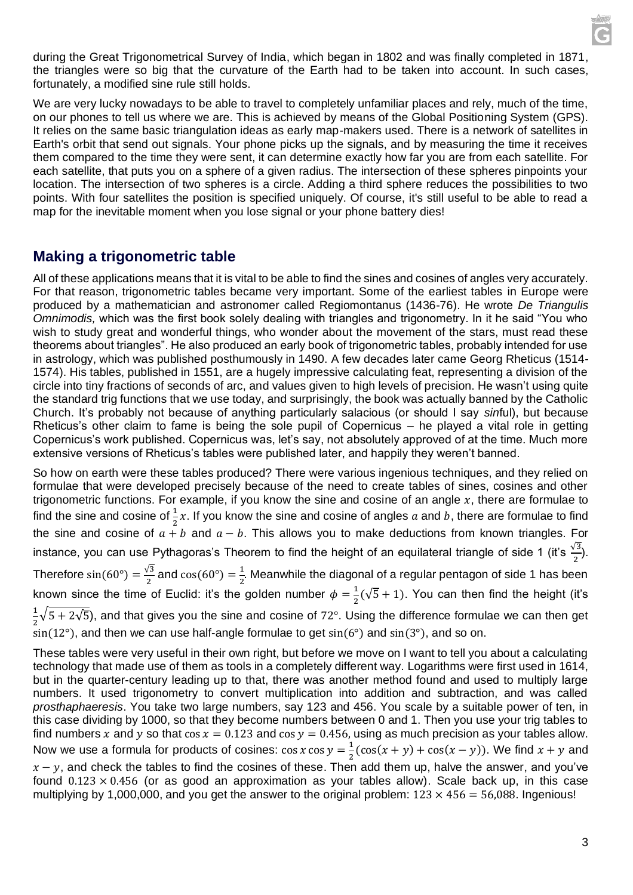during the Great Trigonometrical Survey of India, which began in 1802 and was finally completed in 1871, the triangles were so big that the curvature of the Earth had to be taken into account. In such cases, fortunately, a modified sine rule still holds.

We are very lucky nowadays to be able to travel to completely unfamiliar places and rely, much of the time, on our phones to tell us where we are. This is achieved by means of the Global Positioning System (GPS). It relies on the same basic triangulation ideas as early map-makers used. There is a network of satellites in Earth's orbit that send out signals. Your phone picks up the signals, and by measuring the time it receives them compared to the time they were sent, it can determine exactly how far you are from each satellite. For each satellite, that puts you on a sphere of a given radius. The intersection of these spheres pinpoints your location. The intersection of two spheres is a circle. Adding a third sphere reduces the possibilities to two points. With four satellites the position is specified uniquely. Of course, it's still useful to be able to read a map for the inevitable moment when you lose signal or your phone battery dies!

#### **Making a trigonometric table**

All of these applications means that it is vital to be able to find the sines and cosines of angles very accurately. For that reason, trigonometric tables became very important. Some of the earliest tables in Europe were produced by a mathematician and astronomer called Regiomontanus (1436-76). He wrote *De Triangulis Omnimodis,* which was the first book solely dealing with triangles and trigonometry. In it he said "You who wish to study great and wonderful things, who wonder about the movement of the stars, must read these theorems about triangles". He also produced an early book of trigonometric tables, probably intended for use in astrology, which was published posthumously in 1490. A few decades later came Georg Rheticus (1514- 1574). His tables, published in 1551, are a hugely impressive calculating feat, representing a division of the circle into tiny fractions of seconds of arc, and values given to high levels of precision. He wasn't using quite the standard trig functions that we use today, and surprisingly, the book was actually banned by the Catholic Church. It's probably not because of anything particularly salacious (or should I say *sin*ful), but because Rheticus's other claim to fame is being the sole pupil of Copernicus – he played a vital role in getting Copernicus's work published. Copernicus was, let's say, not absolutely approved of at the time. Much more extensive versions of Rheticus's tables were published later, and happily they weren't banned.

So how on earth were these tables produced? There were various ingenious techniques, and they relied on formulae that were developed precisely because of the need to create tables of sines, cosines and other trigonometric functions. For example, if you know the sine and cosine of an angle  $x$ , there are formulae to find the sine and cosine of  $\frac{1}{2}x$ . If you know the sine and cosine of angles  $a$  and  $b$ , there are formulae to find the sine and cosine of  $a + b$  and  $a - b$ . This allows you to make deductions from known triangles. For instance, you can use Pythagoras's Theorem to find the height of an equilateral triangle of side 1 (it's  $\frac{\sqrt{3}}{2}$ ). Therefore  $sin(60^\circ) = \frac{\sqrt{3}}{2}$  $\frac{\sqrt{3}}{2}$  and cos(60°) =  $\frac{1}{2}$  $\frac{1}{2}$ . Meanwhile the diagonal of a regular pentagon of side 1 has been known since the time of Euclid: it's the golden number  $\phi = \frac{1}{2}$  $\frac{1}{2}(\sqrt{5}+1)$ . You can then find the height (it's 1  $\frac{1}{2}\sqrt{5} + 2\sqrt{5}$ ), and that gives you the sine and cosine of 72°. Using the difference formulae we can then get  $\sin(12^{\circ})$ , and then we can use half-angle formulae to get  $\sin(6^{\circ})$  and  $\sin(3^{\circ})$ , and so on.

These tables were very useful in their own right, but before we move on I want to tell you about a calculating technology that made use of them as tools in a completely different way. Logarithms were first used in 1614, but in the quarter-century leading up to that, there was another method found and used to multiply large numbers. It used trigonometry to convert multiplication into addition and subtraction, and was called *prosthaphaeresis*. You take two large numbers, say 123 and 456. You scale by a suitable power of ten, in this case dividing by 1000, so that they become numbers between 0 and 1. Then you use your trig tables to find numbers x and y so that cos  $x = 0.123$  and cos  $y = 0.456$ , using as much precision as your tables allow. Now we use a formula for products of cosines:  $\cos x \cos y = \frac{1}{2}$  $\frac{1}{2}$ (cos(x + y) + cos(x – y)). We find x + y and  $x - y$ , and check the tables to find the cosines of these. Then add them up, halve the answer, and you've found  $0.123 \times 0.456$  (or as good an approximation as your tables allow). Scale back up, in this case multiplying by 1,000,000, and you get the answer to the original problem:  $123 \times 456 = 56,088$ . Ingenious!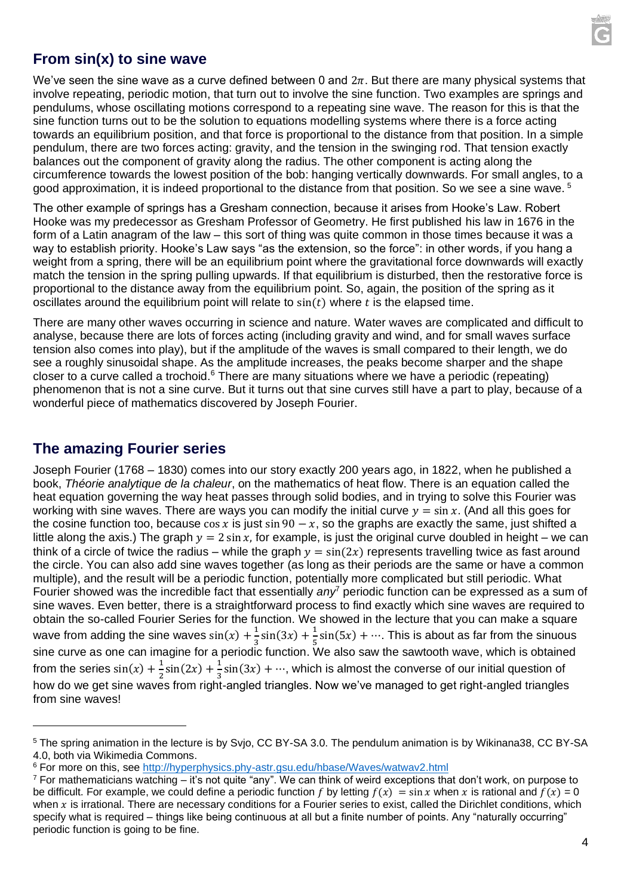

## **From sin(x) to sine wave**

We've seen the sine wave as a curve defined between 0 and  $2\pi$ . But there are many physical systems that involve repeating, periodic motion, that turn out to involve the sine function. Two examples are springs and pendulums, whose oscillating motions correspond to a repeating sine wave. The reason for this is that the sine function turns out to be the solution to equations modelling systems where there is a force acting towards an equilibrium position, and that force is proportional to the distance from that position. In a simple pendulum, there are two forces acting: gravity, and the tension in the swinging rod. That tension exactly balances out the component of gravity along the radius. The other component is acting along the circumference towards the lowest position of the bob: hanging vertically downwards. For small angles, to a good approximation, it is indeed proportional to the distance from that position. So we see a sine wave.<sup>5</sup>

The other example of springs has a Gresham connection, because it arises from Hooke's Law. Robert Hooke was my predecessor as Gresham Professor of Geometry. He first published his law in 1676 in the form of a Latin anagram of the law – this sort of thing was quite common in those times because it was a way to establish priority. Hooke's Law says "as the extension, so the force": in other words, if you hang a weight from a spring, there will be an equilibrium point where the gravitational force downwards will exactly match the tension in the spring pulling upwards. If that equilibrium is disturbed, then the restorative force is proportional to the distance away from the equilibrium point. So, again, the position of the spring as it oscillates around the equilibrium point will relate to  $sin(t)$  where t is the elapsed time.

There are many other waves occurring in science and nature. Water waves are complicated and difficult to analyse, because there are lots of forces acting (including gravity and wind, and for small waves surface tension also comes into play), but if the amplitude of the waves is small compared to their length, we do see a roughly sinusoidal shape. As the amplitude increases, the peaks become sharper and the shape closer to a curve called a trochoid.<sup>6</sup> There are many situations where we have a periodic (repeating) phenomenon that is not a sine curve. But it turns out that sine curves still have a part to play, because of a wonderful piece of mathematics discovered by Joseph Fourier.

#### **The amazing Fourier series**

Joseph Fourier (1768 – 1830) comes into our story exactly 200 years ago, in 1822, when he published a book, *Théorie analytique de la chaleur*, on the mathematics of heat flow. There is an equation called the heat equation governing the way heat passes through solid bodies, and in trying to solve this Fourier was working with sine waves. There are wavs you can modify the initial curve  $y = \sin x$ . (And all this goes for the cosine function too, because cos x is just sin 90  $-x$ , so the graphs are exactly the same, just shifted a little along the axis.) The graph  $y = 2 \sin x$ , for example, is just the original curve doubled in height – we can think of a circle of twice the radius – while the graph  $y = sin(2x)$  represents travelling twice as fast around the circle. You can also add sine waves together (as long as their periods are the same or have a common multiple), and the result will be a periodic function, potentially more complicated but still periodic. What Fourier showed was the incredible fact that essentially *any*<sup>7</sup> periodic function can be expressed as a sum of sine waves. Even better, there is a straightforward process to find exactly which sine waves are required to obtain the so-called Fourier Series for the function. We showed in the lecture that you can make a square wave from adding the sine waves  $sin(x) + \frac{1}{x}$  $\frac{1}{3}\sin(3x) + \frac{1}{5}$  $\frac{1}{5}$ sin(5x) + …. This is about as far from the sinuous sine curve as one can imagine for a periodic function. We also saw the sawtooth wave, which is obtained from the series  $sin(x) + \frac{1}{2}$  $\frac{1}{2}\sin(2x) + \frac{1}{3}$  $\frac{1}{3}$ sin(3x) + …, which is almost the converse of our initial question of how do we get sine waves from right-angled triangles. Now we've managed to get right-angled triangles from sine waves!

<sup>5</sup> The spring animation in the lecture is by Svjo, CC BY-SA 3.0. The pendulum animation is by Wikinana38, CC BY-SA 4.0, both via Wikimedia Commons.

<sup>&</sup>lt;sup>6</sup> For more on this, see<http://hyperphysics.phy-astr.gsu.edu/hbase/Waves/watwav2.html>

 $<sup>7</sup>$  For mathematicians watching – it's not quite "any". We can think of weird exceptions that don't work, on purpose to</sup> be difficult. For example, we could define a periodic function f by letting  $f(x) = \sin x$  when x is rational and  $f(x) = 0$ when  $x$  is irrational. There are necessary conditions for a Fourier series to exist, called the Dirichlet conditions, which specify what is required – things like being continuous at all but a finite number of points. Any "naturally occurring" periodic function is going to be fine.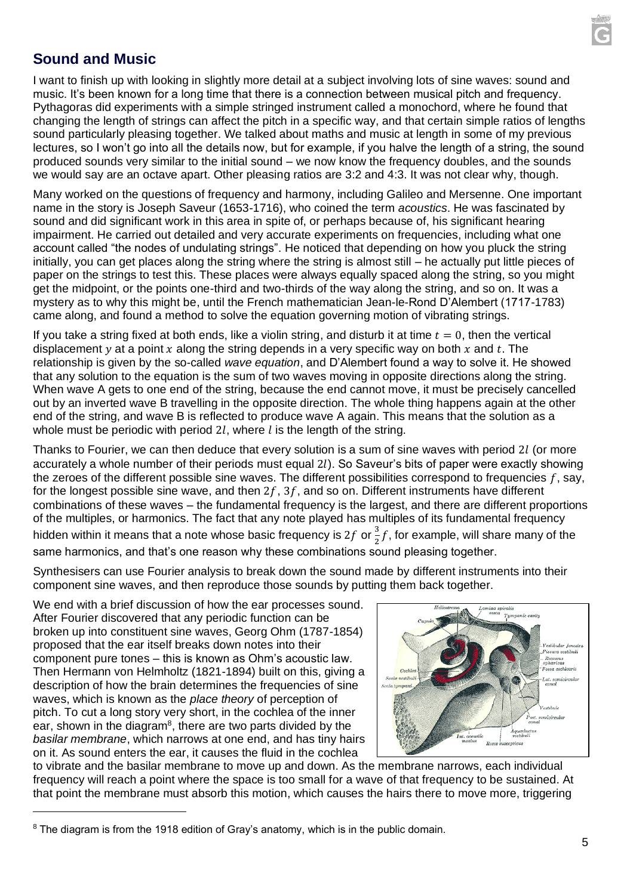

## **Sound and Music**

I want to finish up with looking in slightly more detail at a subject involving lots of sine waves: sound and music. It's been known for a long time that there is a connection between musical pitch and frequency. Pythagoras did experiments with a simple stringed instrument called a monochord, where he found that changing the length of strings can affect the pitch in a specific way, and that certain simple ratios of lengths sound particularly pleasing together. We talked about maths and music at length in some of my previous lectures, so I won't go into all the details now, but for example, if you halve the length of a string, the sound produced sounds very similar to the initial sound – we now know the frequency doubles, and the sounds we would say are an octave apart. Other pleasing ratios are 3:2 and 4:3. It was not clear why, though.

Many worked on the questions of frequency and harmony, including Galileo and Mersenne. One important name in the story is Joseph Saveur (1653-1716), who coined the term *acoustics*. He was fascinated by sound and did significant work in this area in spite of, or perhaps because of, his significant hearing impairment. He carried out detailed and very accurate experiments on frequencies, including what one account called "the nodes of undulating strings". He noticed that depending on how you pluck the string initially, you can get places along the string where the string is almost still – he actually put little pieces of paper on the strings to test this. These places were always equally spaced along the string, so you might get the midpoint, or the points one-third and two-thirds of the way along the string, and so on. It was a mystery as to why this might be, until the French mathematician Jean-le-Rond D'Alembert (1717-1783) came along, and found a method to solve the equation governing motion of vibrating strings.

If you take a string fixed at both ends, like a violin string, and disturb it at time  $t = 0$ , then the vertical displacement y at a point x along the string depends in a very specific way on both x and t. The relationship is given by the so-called *wave equation*, and D'Alembert found a way to solve it. He showed that any solution to the equation is the sum of two waves moving in opposite directions along the string. When wave A gets to one end of the string, because the end cannot move, it must be precisely cancelled out by an inverted wave B travelling in the opposite direction. The whole thing happens again at the other end of the string, and wave B is reflected to produce wave A again. This means that the solution as a whole must be periodic with period 2l, where  $l$  is the length of the string.

Thanks to Fourier, we can then deduce that every solution is a sum of sine waves with period 2l (or more accurately a whole number of their periods must equal 2). So Saveur's bits of paper were exactly showing the zeroes of the different possible sine waves. The different possibilities correspond to frequencies  $f$ , say, for the longest possible sine wave, and then  $2f$ ,  $3f$ , and so on. Different instruments have different combinations of these waves – the fundamental frequency is the largest, and there are different proportions of the multiples, or harmonics. The fact that any note played has multiples of its fundamental frequency hidden within it means that a note whose basic frequency is 2f or  $\frac{3}{5}$  $\frac{3}{2}$ f, for example, will share many of the same harmonics, and that's one reason why these combinations sound pleasing together.

Synthesisers can use Fourier analysis to break down the sound made by different instruments into their component sine waves, and then reproduce those sounds by putting them back together.

We end with a brief discussion of how the ear processes sound. After Fourier discovered that any periodic function can be broken up into constituent sine waves, Georg Ohm (1787-1854) proposed that the ear itself breaks down notes into their component pure tones – this is known as Ohm's acoustic law. Then Hermann von Helmholtz (1821-1894) built on this, giving a description of how the brain determines the frequencies of sine waves, which is known as the *place theory* of perception of pitch. To cut a long story very short, in the cochlea of the inner ear, shown in the diagram<sup>8</sup>, there are two parts divided by the *basilar membrane*, which narrows at one end, and has tiny hairs on it. As sound enters the ear, it causes the fluid in the cochlea



to vibrate and the basilar membrane to move up and down. As the membrane narrows, each individual frequency will reach a point where the space is too small for a wave of that frequency to be sustained. At that point the membrane must absorb this motion, which causes the hairs there to move more, triggering

<sup>&</sup>lt;sup>8</sup> The diagram is from the 1918 edition of Gray's anatomy, which is in the public domain.